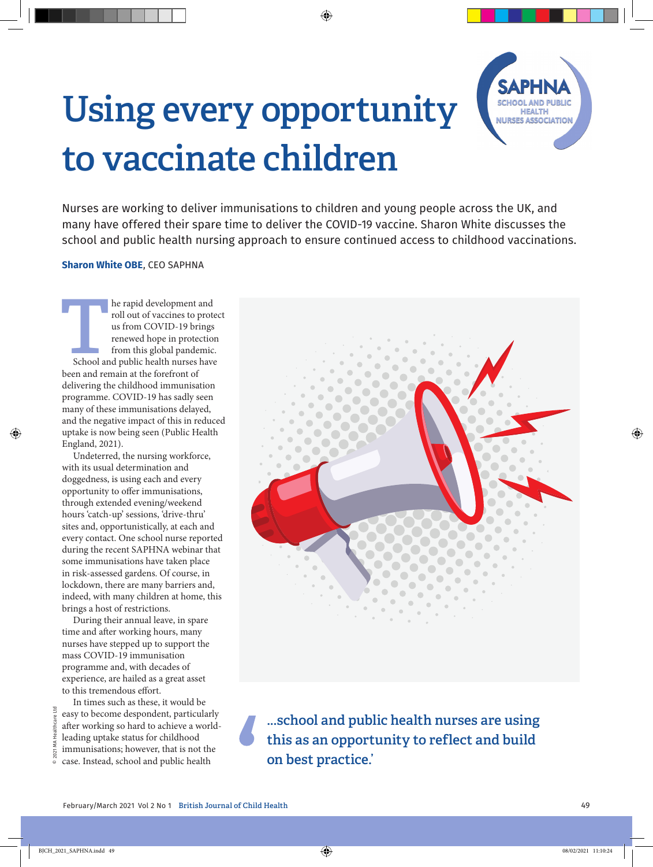## **Using every opportunity to vaccinate children**



Nurses are working to deliver immunisations to children and young people across the UK, and many have offered their spare time to deliver the COVID-19 vaccine. Sharon White discusses the school and public health nursing approach to ensure continued access to childhood vaccinations.

◈

## **Sharon White OBE**, CEO SAPHNA

**THE REVIDENT AND REVIDENT AND REVIDED 19 DETAILS ARE SCHOOL AND REPORT OF A SCHOOL AND FOR SCHOOL AND PUBLIC SCHOOL AND PUBLIC SCHOOL AND PUBLIC HEALTH PUBLIC SCHOOL AND PUBLIC health nurses have a set of**  $\mathbf{S}$  **and pub** roll out of vaccines to protect us from COVID-19 brings renewed hope in protection from this global pandemic. been and remain at the forefront of delivering the childhood immunisation programme. COVID-19 has sadly seen many of these immunisations delayed, and the negative impact of this in reduced uptake is now being seen (Public Health England, 2021).

Undeterred, the nursing workforce, with its usual determination and doggedness, is using each and every opportunity to offer immunisations, through extended evening/weekend hours 'catch-up' sessions, 'drive-thru' sites and, opportunistically, at each and every contact. One school nurse reported during the recent SAPHNA webinar that some immunisations have taken place in risk-assessed gardens. Of course, in lockdown, there are many barriers and, indeed, with many children at home, this brings a host of restrictions.

During their annual leave, in spare time and after working hours, many nurses have stepped up to support the mass COVID-19 immunisation programme and, with decades of experience, are hailed as a great asset to this tremendous effort.

© 2021 MA Healthcare Ltd

◈

In times such as these, it would be easy to become despondent, particularly after working so hard to achieve a worldleading uptake status for childhood immunisations; however, that is not the case. Instead, school and public health



**...school and public health nurses are using this as an opportunity to reflect and build on best practice.'**

◈